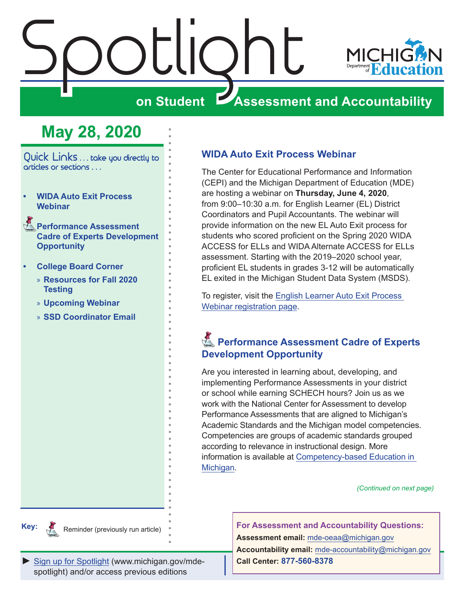# <span id="page-0-0"></span>Spotlight



### **on Student Assessment and Accountability**

# **May 28, 2020**

Quick Links . . . take you directly to articles or sections . . .

- **• WIDA Auto Exit Process Webinar**
- **Reformance Assessment Cadre of Experts Development Opportunity**
- **• [College Board Corner](#page-2-0)** 
	- » **[Resources for Fall 2020](#page-2-0)  [Testing](#page-2-0)**
	- » **[Upcoming Webinar](#page-2-0)**
	- » **[SSD Coordinator Email](#page-2-0)**

#### **WIDA Auto Exit Process Webinar**

The Center for Educational Performance and Information (CEPI) and the Michigan Department of Education (MDE) are hosting a webinar on **Thursday, June 4, 2020**, from 9:00–10:30 a.m. for English Learner (EL) District Coordinators and Pupil Accountants. The webinar will provide information on the new EL Auto Exit process for students who scored proficient on the Spring 2020 WIDA ACCESS for ELLs and WIDA Alternate ACCESS for ELLs assessment. Starting with the 2019–2020 school year, proficient EL students in grades 3-12 will be automatically EL exited in the Michigan Student Data System (MSDS).

To register, visit the [English Learner Auto Exit Process](https://www.eventbrite.com/e/english-learner-auto-exit-process-webinar-tickets-104552244578)  [Webinar registration page](https://www.eventbrite.com/e/english-learner-auto-exit-process-webinar-tickets-104552244578).

#### **Reformance Assessment Cadre of Experts Development Opportunity**

Are you interested in learning about, developing, and implementing Performance Assessments in your district or school while earning SCHECH hours? Join us as we work with the National Center for Assessment to develop Performance Assessments that are aligned to Michigan's Academic Standards and the Michigan model competencies. Competencies are groups of academic standards grouped according to relevance in instructional design. More information is available at [Competency-based Education in](https://www.michigan.gov/mde/0,4615,7-140-28753_65803-322532--,00.html)  [Michigan.](https://www.michigan.gov/mde/0,4615,7-140-28753_65803-322532--,00.html)

*(Continued on next page)*



Reminder (previously run article)

**For Assessment and Accountability Questions: Assessment email:** mde-oeaa[@michigan.gov](mailto:mde-oeaa%40michigan.gov?subject=assessment%20question)

[Sign up for Spotlight](https://public.govdelivery.com/accounts/MIMDE/subscriber/new) [\(www.michigan.gov/mde](www.michigan.gov/mde-spotlight)spotlight) and/or access previous editions

**Accountability email:** mde[-accountability@michigan.gov](mailto:MDE-Accountability%40michigan.gov?subject=Accountability%20question) **Call Center: 877-560-8378**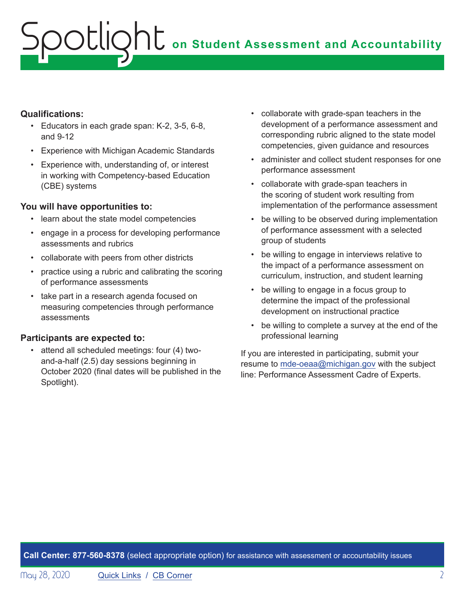# **ONE** on Student Assessment and Accountability potlic

#### **Qualifications:**

- Educators in each grade span: K-2, 3-5, 6-8, and 9-12
- Experience with Michigan Academic Standards
- Experience with, understanding of, or interest in working with Competency-based Education (CBE) systems

#### **You will have opportunities to:**

- learn about the state model competencies
- engage in a process for developing performance assessments and rubrics
- collaborate with peers from other districts
- practice using a rubric and calibrating the scoring of performance assessments
- take part in a research agenda focused on measuring competencies through performance assessments

#### **Participants are expected to:**

• attend all scheduled meetings: four (4) twoand-a-half (2.5) day sessions beginning in October 2020 (final dates will be published in the Spotlight).

- collaborate with grade-span teachers in the development of a performance assessment and corresponding rubric aligned to the state model competencies, given guidance and resources
- administer and collect student responses for one performance assessment
- collaborate with grade-span teachers in the scoring of student work resulting from implementation of the performance assessment
- be willing to be observed during implementation of performance assessment with a selected group of students
- be willing to engage in interviews relative to the impact of a performance assessment on curriculum, instruction, and student learning
- be willing to engage in a focus group to determine the impact of the professional development on instructional practice
- be willing to complete a survey at the end of the professional learning

If you are interested in participating, submit your resume to [mde-oeaa@michigan.gov](mailto:mde-oeaa%40michigan.gov?subject=Performance%20Assessment%20Cadre%20of%20Experts) with the subject line: Performance Assessment Cadre of Experts.

**Call Center: 877-560-8378** (select appropriate option) for assistance with assessment or accountability issues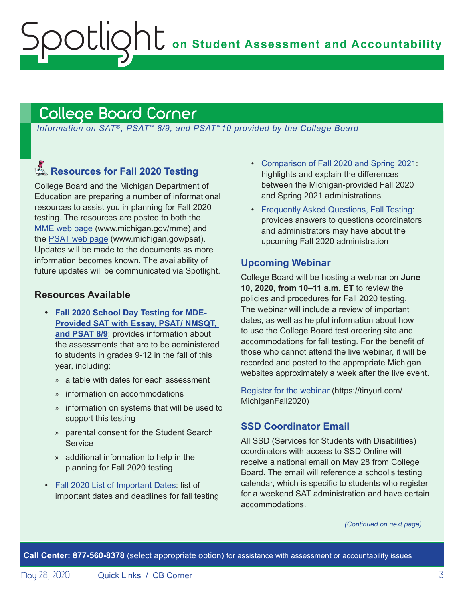# <span id="page-2-1"></span>College Board Corner

<span id="page-2-0"></span>Spotlight

*Information on SAT*®*, PSAT*™ *8/9, and PSAT*™*10 provided by the College Board*

## Reminders **Resources for Fall 2020 Testing**

College Board and the Michigan Department of Education are preparing a number of informational resources to assist you in planning for Fall 2020 testing. The resources are posted to both the [MME web page](www.michigan.gov/mme) (www.michigan.gov/mme) and the [PSAT web page](http://www.michigan.gov/psat) (www.michigan.gov/psat). Updates will be made to the documents as more information becomes known. The availability of future updates will be communicated via Spotlight.

#### **Resources Available**

- **• [Fall 2020 School Day Testing for MDE-](https://www.michigan.gov/documents/mde/Fall_2020_School_Day_Testing_for_MDE_Provided_Assessments_690609_7.pdf)[Provided SAT with Essay, PSAT/ NMSQT,](https://www.michigan.gov/documents/mde/Fall_2020_School_Day_Testing_for_MDE_Provided_Assessments_690609_7.pdf)  [and PSAT 8/9](https://www.michigan.gov/documents/mde/Fall_2020_School_Day_Testing_for_MDE_Provided_Assessments_690609_7.pdf)**: provides information about the assessments that are to be administered to students in grades 9-12 in the fall of this year, including:
	- » a table with dates for each assessment
	- » information on accommodations
	- » information on systems that will be used to support this testing
	- » parental consent for the Student Search **Service**
	- » additional information to help in the planning for Fall 2020 testing
- [Fall 2020 List of Important Dates:](https://www.michigan.gov/documents/mde/Fall_2020_List_of_Important_Dates_689777_7.pdf) list of important dates and deadlines for fall testing
- [Comparison of Fall 2020 and Spring 2021:](https://www.michigan.gov/documents/mde/Michigan_Fall_vs_Spring_ADA_691944_7.pdf) highlights and explain the differences between the Michigan-provided Fall 2020 and Spring 2021 administrations
- [Frequently Asked Questions, Fall Testing](https://nam04.safelinks.protection.outlook.com/?url=https%3A%2F%2Fwww.michigan.gov%2Fdocuments%2Fmde%2FMichigan_FAQs_ADA_691945_7.pdf&data=02%7C01%7Csthaler%40collegeboard.org%7Ce133257eede44e82cd5e08d80261521b%7C7530bdedfd6e4f58b5d2ea681eb07663%7C0%7C1%7C637261964308033767&sdata=DupAclI5ZwRkaelQMf5Q6DrAsM6Y9qjfhoOd6F%2FegKg%3D&reserved=0): provides answers to questions coordinators and administrators may have about the upcoming Fall 2020 administration

#### **Upcoming Webinar**

College Board will be hosting a webinar on **June 10, 2020, from 10–11 a.m. ET** to review the policies and procedures for Fall 2020 testing. The webinar will include a review of important dates, as well as helpful information about how to use the College Board test ordering site and accommodations for fall testing. For the benefit of those who cannot attend the live webinar, it will be recorded and posted to the appropriate Michigan websites approximately a week after the live event.

[Register for the webinar](https://tinyurl.com/MichiganFall2020) (https://tinyurl.com/ MichiganFall2020)

#### **SSD Coordinator Email**

All SSD (Services for Students with Disabilities) coordinators with access to SSD Online will receive a national email on May 28 from College Board. The email will reference a school's testing calendar, which is specific to students who register for a weekend SAT administration and have certain accommodations.

*(Continued on next page)*

**Call Center: 877-560-8378** (select appropriate option) for assistance with assessment or accountability issues